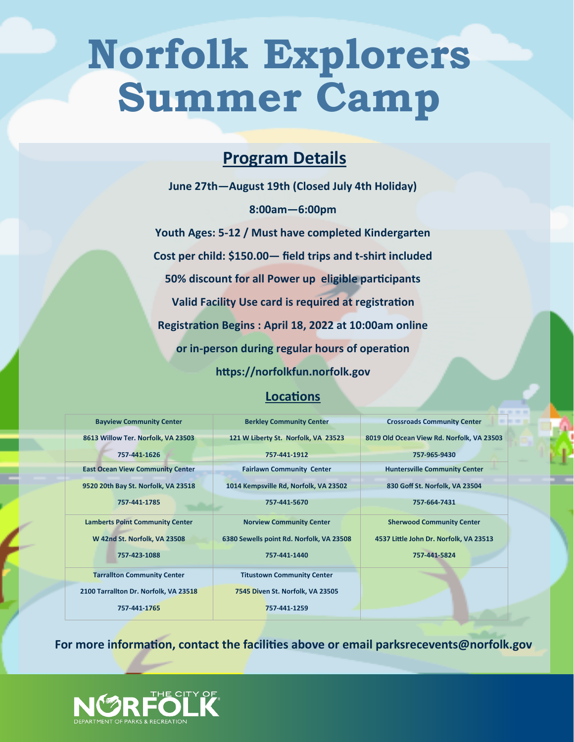# **Norfolk Explorers Summer Camp**

### **Program Details**

**June 27th—August 19th (Closed July 4th Holiday) 8:00am—6:00pm Youth Ages: 5-12 / Must have completed Kindergarten Cost per child: \$150.00— field trips and t-shirt included 50% discount for all Power up eligible participants Valid Facility Use card is required at registration Registration Begins : April 18, 2022 at 10:00am online or in-person during regular hours of operation https://norfolkfun.norfolk.gov** 

#### **Locations**

| <b>Bayview Community Center</b>         | <b>Berkley Community Center</b>          | <b>Crossroads Community Center</b>        |
|-----------------------------------------|------------------------------------------|-------------------------------------------|
| 8613 Willow Ter. Norfolk, VA 23503      | 121 W Liberty St. Norfolk, VA 23523      | 8019 Old Ocean View Rd. Norfolk, VA 23503 |
| 757-441-1626                            | 757-441-1912                             | 757-965-9430                              |
| <b>East Ocean View Community Center</b> | <b>Fairlawn Community Center</b>         | <b>Huntersville Community Center</b>      |
| 9520 20th Bay St. Norfolk, VA 23518     | 1014 Kempsville Rd, Norfolk, VA 23502    | 830 Goff St. Norfolk, VA 23504            |
| 757-441-1785                            | 757-441-5670                             | 757-664-7431                              |
| <b>Lamberts Point Community Center</b>  | <b>Norview Community Center</b>          | <b>Sherwood Community Center</b>          |
| W 42nd St. Norfolk, VA 23508            | 6380 Sewells point Rd. Norfolk, VA 23508 | 4537 Little John Dr. Norfolk, VA 23513    |
| 757-423-1088                            | 757-441-1440                             | 757-441-5824                              |
| <b>Tarrallton Community Center</b>      | <b>Titustown Community Center</b>        |                                           |
| 2100 Tarrallton Dr. Norfolk, VA 23518   | 7545 Diven St. Norfolk, VA 23505         |                                           |
| 757-441-1765                            | 757-441-1259                             |                                           |
|                                         |                                          |                                           |

**For more information, contact the facilities above or email parksrecevents@norfolk.gov**